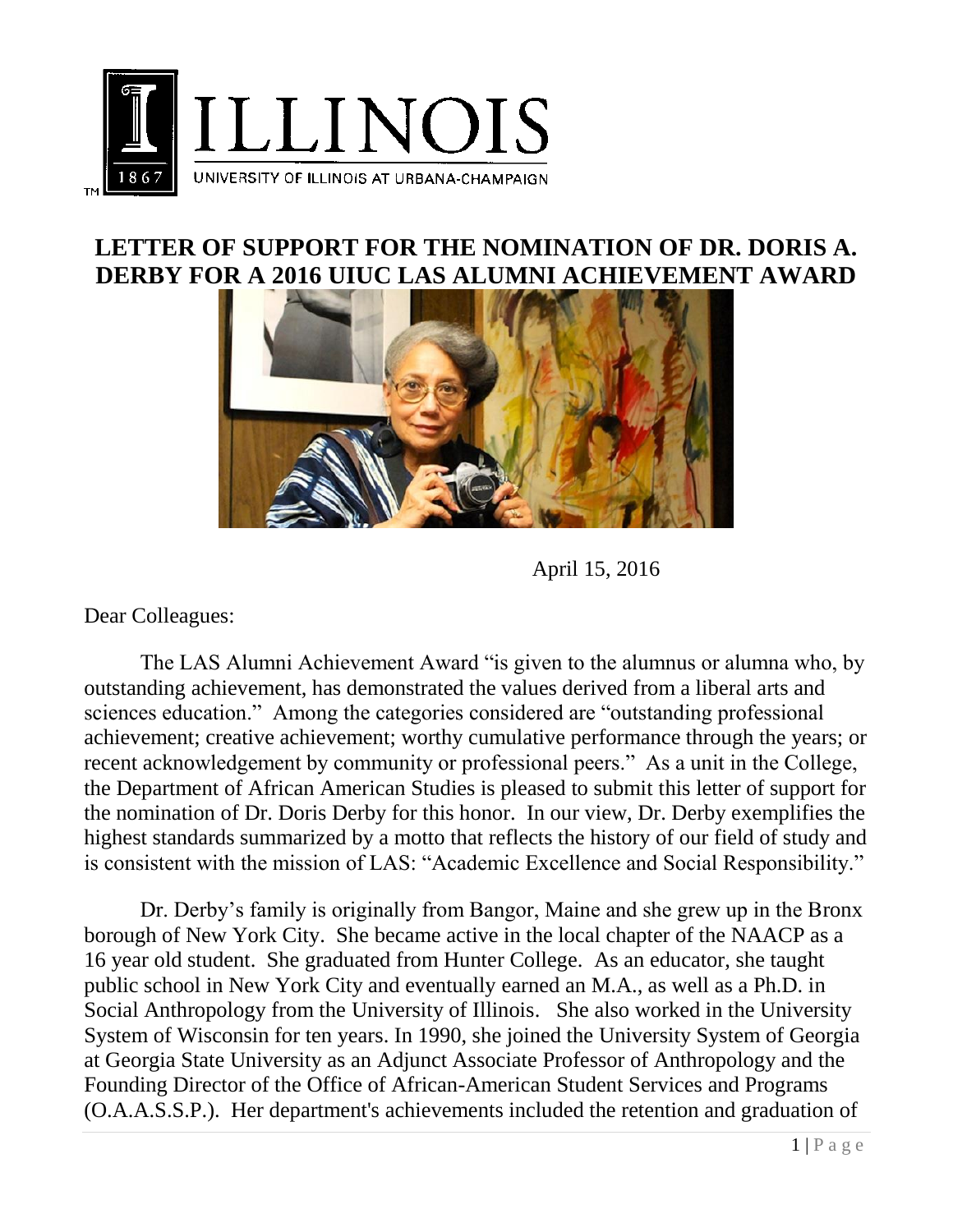

## **LETTER OF SUPPORT FOR THE NOMINATION OF DR. DORIS A. DERBY FOR A 2016 UIUC LAS ALUMNI ACHIEVEMENT AWARD**



April 15, 2016

Dear Colleagues:

The LAS Alumni Achievement Award "is given to the alumnus or alumna who, by outstanding achievement, has demonstrated the values derived from a liberal arts and sciences education." Among the categories considered are "outstanding professional achievement; creative achievement; worthy cumulative performance through the years; or recent acknowledgement by community or professional peers." As a unit in the College, the Department of African American Studies is pleased to submit this letter of support for the nomination of Dr. Doris Derby for this honor. In our view, Dr. Derby exemplifies the highest standards summarized by a motto that reflects the history of our field of study and is consistent with the mission of LAS: "Academic Excellence and Social Responsibility."

Dr. Derby's family is originally from Bangor, Maine and she grew up in the Bronx borough of New York City. She became active in the local chapter of the NAACP as a 16 year old student. She graduated from Hunter College. As an educator, she taught public school in New York City and eventually earned an M.A., as well as a Ph.D. in Social Anthropology from the [University of Illinois.](https://en.wikipedia.org/wiki/University_of_Illinois) She also worked in the University System of Wisconsin for ten years. In 1990, she joined the [University System of Georgia](https://en.wikipedia.org/wiki/University_System_of_Georgia) at [Georgia State University](https://en.wikipedia.org/wiki/Georgia_State_University) as an Adjunct Associate Professor of Anthropology and the Founding Director of the Office of African-American Student Services and Programs (O.A.A.S.S.P.). Her department's achievements included the retention and graduation of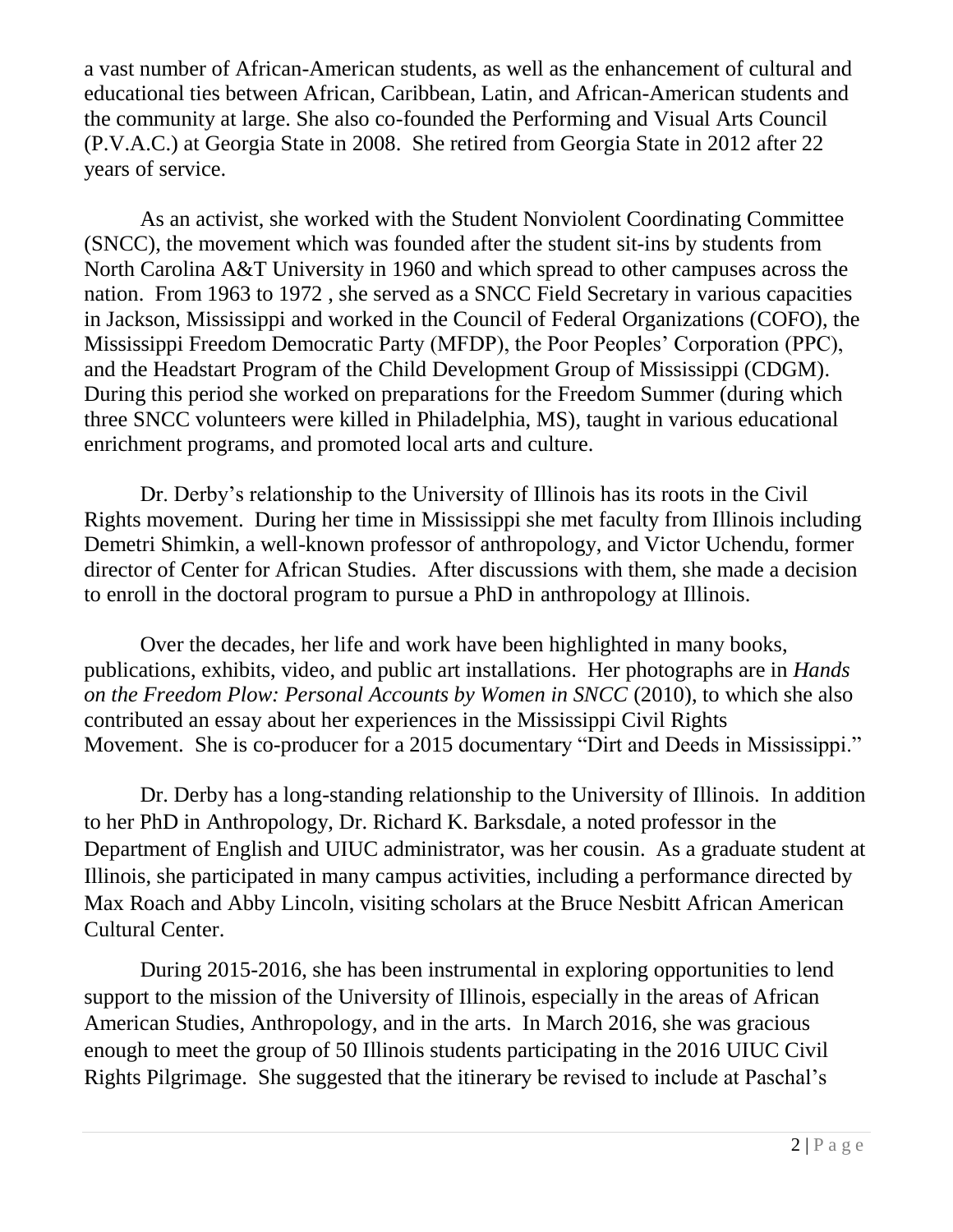a vast number of African-American students, as well as the enhancement of cultural and educational ties between African, Caribbean, Latin, and African-American students and the community at large. She also co-founded the Performing and Visual Arts Council (P.V.A.C.) at [Georgia State i](https://en.wikipedia.org/wiki/Georgia_State_University)n 2008. She retired from Georgia State in 2012 after 22 years of service.

As an activist, she worked with the Student Nonviolent Coordinating Committee (SNCC), the movement which was founded after the student sit-ins by students from North Carolina A&T University in 1960 and which spread to other campuses across the nation. From 1963 to 1972 , she served as a SNCC Field Secretary in various capacities in Jackson, Mississippi and worked in the [Council of Federal Organizations](https://webmail.illinois.edu/owa/redir.aspx?SURL=k7gfGhTtt1iHWACZK1jx8HRZ8e0c4I_oQJR-POatih13U0mjLWXTCGgAdAB0AHAAcwA6AC8ALwBlAG4ALgB3AGkAawBpAHAAZQBkAGkAYQAuAG8AcgBnAC8AdwAvAGkAbgBkAGUAeAAuAHAAaABwAD8AdABpAHQAbABlAD0AQwBvAHUAbgBjAGkAbABfAG8AZgBfAEYAZQBkAGUAcgBhAGwAXwBPAHIAZwBhAG4AaQB6AGEAdABpAG8AbgBzACYAYQBjAHQAaQBvAG4APQBlAGQAaQB0ACYAcgBlAGQAbABpAG4AawA9ADEA&URL=https%3a%2f%2fen.wikipedia.org%2fw%2findex.php%3ftitle%3dCouncil_of_Federal_Organizations%26action%3dedit%26redlink%3d1) (COFO), the [Mississippi Freedom Democratic Party](https://webmail.illinois.edu/owa/redir.aspx?SURL=KOVVqUSTGmgDLwe3e9n-K7DX83OpU4JazPJni34rT0J3U0mjLWXTCGgAdAB0AHAAcwA6AC8ALwBlAG4ALgB3AGkAawBpAHAAZQBkAGkAYQAuAG8AcgBnAC8AdwBpAGsAaQAvAE0AaQBzAHMAaQBzAHMAaQBwAHAAaQBfAEYAcgBlAGUAZABvAG0AXwBEAGUAbQBvAGMAcgBhAHQAaQBjAF8AUABhAHIAdAB5AA..&URL=https%3a%2f%2fen.wikipedia.org%2fwiki%2fMississippi_Freedom_Democratic_Party) (MFDP), the Poor Peoples' Corporation (PPC), and the Headstart Program of the Child Development Group of Mississippi (CDGM). During this period she worked on preparations for the [Freedom Summer](https://webmail.illinois.edu/owa/redir.aspx?SURL=QsXJqpoSRhg0kG4qutAZN-Ptsl8mtYKPMrhOC7SzP093U0mjLWXTCGgAdAB0AHAAcwA6AC8ALwBlAG4ALgB3AGkAawBpAHAAZQBkAGkAYQAuAG8AcgBnAC8AdwBpAGsAaQAvAEYAcgBlAGUAZABvAG0AXwBTAHUAbQBtAGUAcgA.&URL=https%3a%2f%2fen.wikipedia.org%2fwiki%2fFreedom_Summer) (during which three SNCC volunteers were killed in Philadelphia, MS), taught in various educational enrichment programs, and promoted local arts and culture.

Dr. Derby's relationship to the University of Illinois has its roots in the Civil Rights movement. During her time in Mississippi she met faculty from Illinois including Demetri Shimkin, a well-known professor of anthropology, and Victor Uchendu, former director of Center for African Studies. After discussions with them, she made a decision to enroll in the doctoral program to pursue a PhD in anthropology at Illinois.

Over the decades, her life and work have been highlighted in many books, publications, exhibits, video, and public art installations. Her photographs are in *Hands on the Freedom Plow: Personal Accounts by Women in SNCC* (2010), to which she also contributed an essay about her experiences in the Mississippi Civil Rights Movement. She is co-producer for a 2015 documentary "Dirt and Deeds in Mississippi."

Dr. Derby has a long-standing relationship to the University of Illinois. In addition to her PhD in Anthropology, Dr. Richard K. Barksdale, a noted professor in the Department of English and UIUC administrator, was her cousin. As a graduate student at Illinois, she participated in many campus activities, including a performance directed by Max Roach and Abby Lincoln, visiting scholars at the Bruce Nesbitt African American Cultural Center.

During 2015-2016, she has been instrumental in exploring opportunities to lend support to the mission of the University of Illinois, especially in the areas of African American Studies, Anthropology, and in the arts. In March 2016, she was gracious enough to meet the group of 50 Illinois students participating in the 2016 UIUC Civil Rights Pilgrimage. She suggested that the itinerary be revised to include at Paschal's